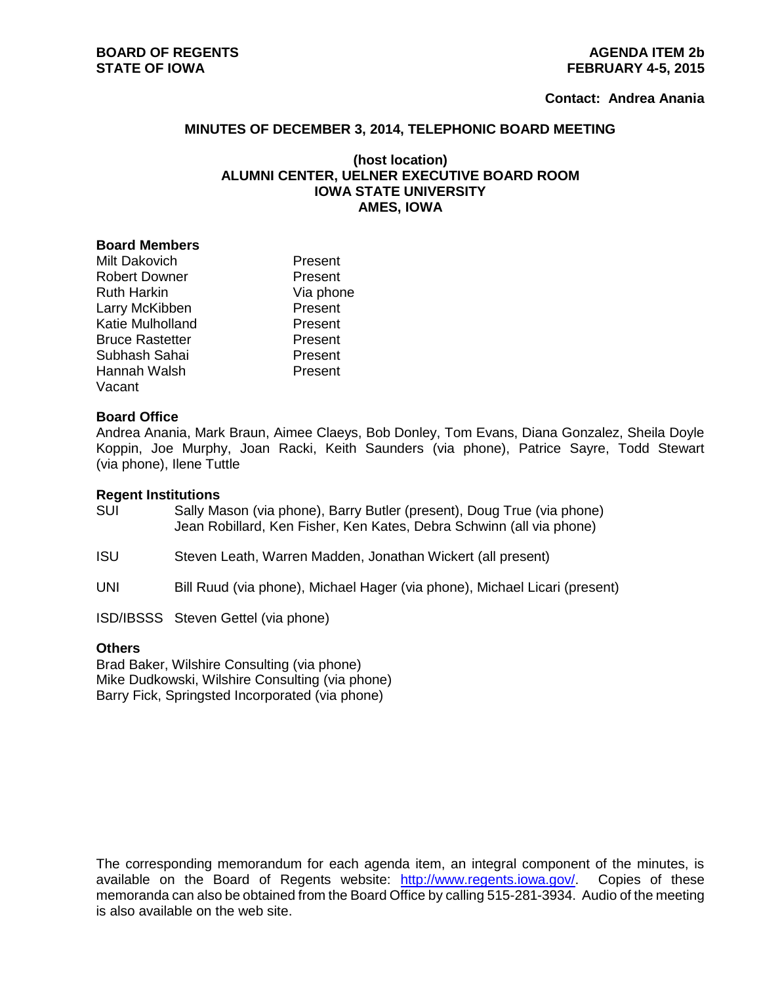#### **Contact: Andrea Anania**

#### **MINUTES OF DECEMBER 3, 2014, TELEPHONIC BOARD MEETING**

# **(host location) ALUMNI CENTER, UELNER EXECUTIVE BOARD ROOM IOWA STATE UNIVERSITY AMES, IOWA**

#### **Board Members**

| Milt Dakovich          | Present   |
|------------------------|-----------|
| <b>Robert Downer</b>   | Present   |
| Ruth Harkin            | Via phone |
| Larry McKibben         | Present   |
| Katie Mulholland       | Present   |
| <b>Bruce Rastetter</b> | Present   |
| Subhash Sahai          | Present   |
| Hannah Walsh           | Present   |
| Vacant                 |           |

#### **Board Office**

Andrea Anania, Mark Braun, Aimee Claeys, Bob Donley, Tom Evans, Diana Gonzalez, Sheila Doyle Koppin, Joe Murphy, Joan Racki, Keith Saunders (via phone), Patrice Sayre, Todd Stewart (via phone), Ilene Tuttle

## **Regent Institutions**

SUI Sally Mason (via phone), Barry Butler (present), Doug True (via phone) Jean Robillard, Ken Fisher, Ken Kates, Debra Schwinn (all via phone)

ISU Steven Leath, Warren Madden, Jonathan Wickert (all present)

UNI Bill Ruud (via phone), Michael Hager (via phone), Michael Licari (present)

ISD/IBSSS Steven Gettel (via phone)

## **Others**

Brad Baker, Wilshire Consulting (via phone) Mike Dudkowski, Wilshire Consulting (via phone) Barry Fick, Springsted Incorporated (via phone)

The corresponding memorandum for each agenda item, an integral component of the minutes, is available on the Board of Regents website: [http://www.regents.iowa.gov/.](http://www.regents.iowa.gov/) Copies of these memoranda can also be obtained from the Board Office by calling 515-281-3934. Audio of the meeting is also available on the web site.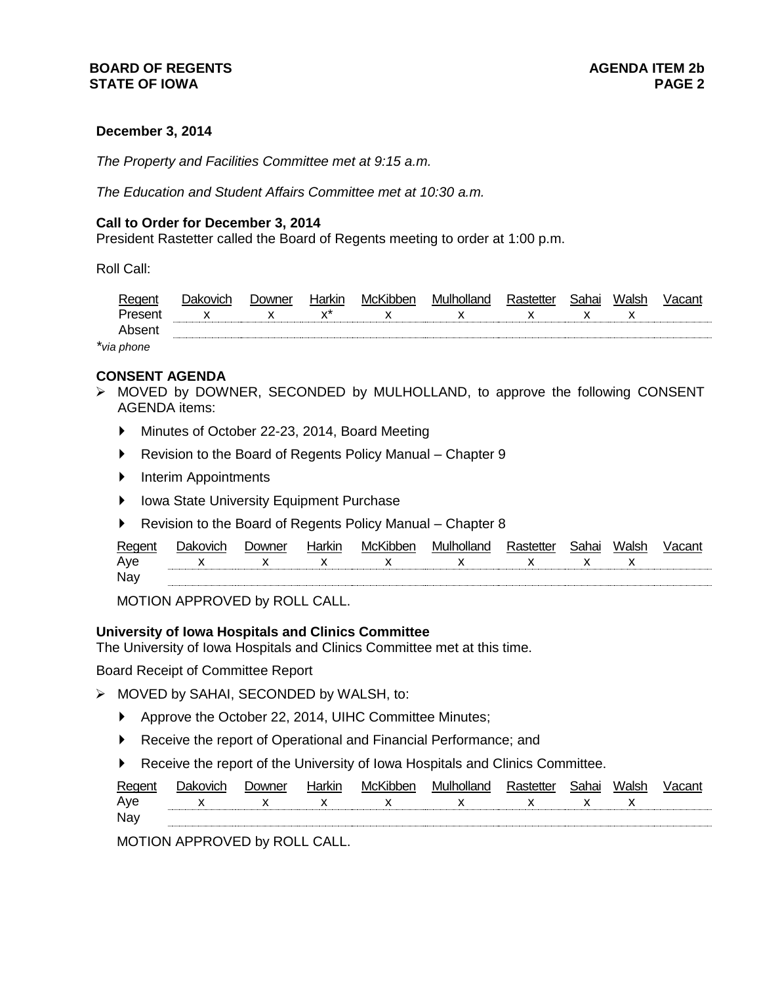# **December 3, 2014**

*The Property and Facilities Committee met at 9:15 a.m.*

*The Education and Student Affairs Committee met at 10:30 a.m.*

#### **Call to Order for December 3, 2014**

President Rastetter called the Board of Regents meeting to order at 1:00 p.m.

Roll Call:

|       | vner | ו ונחטו           | <br>Mcr  | M         |   | ำกาเ<br>ıaı | וטוס |  |
|-------|------|-------------------|----------|-----------|---|-------------|------|--|
| x<br> | ᆺ    | $\mathbf{v}$<br>́ | ^<br>. . | $\lambda$ | ◠ | ́           | ◠    |  |
|       |      |                   |          |           |   |             |      |  |

*\*via phone*

#### **CONSENT AGENDA**

- MOVED by DOWNER, SECONDED by MULHOLLAND, to approve the following CONSENT AGENDA items:
	- Minutes of October 22-23, 2014, Board Meeting
	- ▶ Revision to the Board of Regents Policy Manual Chapter 9
	- **Interim Appointments**
	- ▶ Iowa State University Equipment Purchase
	- ▶ Revision to the Board of Regents Policy Manual Chapter 8

| Reger |           | <b>Jowner</b> | e ir<br>NIL | Mc  | `"ຈηα<br>MІ |     | :nhni<br>ı aı | aleh.<br>וטוס |  |
|-------|-----------|---------------|-------------|-----|-------------|-----|---------------|---------------|--|
| Ave   | $\lambda$ | . .           |             | . . | . .         | . . |               | ↗             |  |
| Na    |           |               |             |     |             |     |               |               |  |

MOTION APPROVED by ROLL CALL.

# **University of Iowa Hospitals and Clinics Committee**

The University of Iowa Hospitals and Clinics Committee met at this time.

Board Receipt of Committee Report

- MOVED by SAHAI, SECONDED by WALSH, to:
	- Approve the October 22, 2014, UIHC Committee Minutes;
	- ▶ Receive the report of Operational and Financial Performance; and
	- Receive the report of the University of Iowa Hospitals and Clinics Committee.

| Reger |           | ിവഗ്നമ്പ | $\overline{\phantom{a}}$<br>NIL | M              | $- - -$<br>MШ |         | $n_{\rm{max}}$ | $\mathbf{u}$<br>aler |  |
|-------|-----------|----------|---------------------------------|----------------|---------------|---------|----------------|----------------------|--|
| Ave   | $\lambda$ | ⌒        |                                 | ^<br>$\lambda$ |               | $\cdot$ | ́              |                      |  |
| Na    |           |          |                                 |                |               |         |                |                      |  |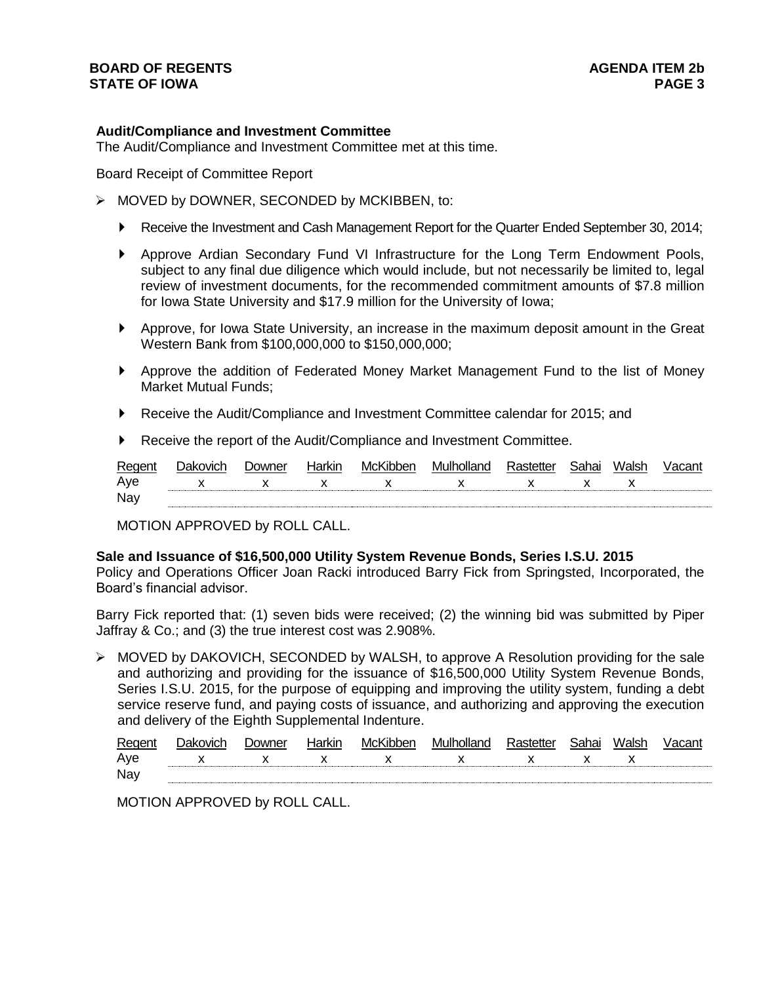# **BOARD OF REGENTS AGENUS STATE OF IOWA PAGE 3**

# **Audit/Compliance and Investment Committee**

The Audit/Compliance and Investment Committee met at this time.

Board Receipt of Committee Report

- $\triangleright$  MOVED by DOWNER, SECONDED by MCKIBBEN, to:
	- Receive the Investment and Cash Management Report for the Quarter Ended September 30, 2014;
	- Approve Ardian Secondary Fund VI Infrastructure for the Long Term Endowment Pools, subject to any final due diligence which would include, but not necessarily be limited to, legal review of investment documents, for the recommended commitment amounts of \$7.8 million for Iowa State University and \$17.9 million for the University of Iowa;
	- Approve, for Iowa State University, an increase in the maximum deposit amount in the Great Western Bank from \$100,000,000 to \$150,000,000;
	- Approve the addition of Federated Money Market Management Fund to the list of Money Market Mutual Funds;
	- Receive the Audit/Compliance and Investment Committee calendar for 2015; and
	- Receive the report of the Audit/Compliance and Investment Committee.

| Regent     | Jakovich | ⊃owner | Harkir                                                                                                                                                                                                                                                                                                                        | McKibben     | Mulholland | .astetter. | :nhni<br>וו ום. | Waleh |  |
|------------|----------|--------|-------------------------------------------------------------------------------------------------------------------------------------------------------------------------------------------------------------------------------------------------------------------------------------------------------------------------------|--------------|------------|------------|-----------------|-------|--|
| Ave        |          |        | $\mathbf{x}$ and $\mathbf{x}$ and $\mathbf{x}$ and $\mathbf{x}$ and $\mathbf{x}$ and $\mathbf{x}$ and $\mathbf{x}$ and $\mathbf{x}$ and $\mathbf{x}$ and $\mathbf{x}$ and $\mathbf{x}$ and $\mathbf{x}$ and $\mathbf{x}$ and $\mathbf{x}$ and $\mathbf{x}$ and $\mathbf{x}$ and $\mathbf{x}$ and $\mathbf{x}$ and $\mathbf{x$ | $\mathsf{x}$ |            |            | $\mathsf{X}$    |       |  |
| <b>Nay</b> |          |        |                                                                                                                                                                                                                                                                                                                               |              |            |            |                 |       |  |

MOTION APPROVED by ROLL CALL.

# **Sale and Issuance of \$16,500,000 Utility System Revenue Bonds, Series I.S.U. 2015**

Policy and Operations Officer Joan Racki introduced Barry Fick from Springsted, Incorporated, the Board's financial advisor.

Barry Fick reported that: (1) seven bids were received; (2) the winning bid was submitted by Piper Jaffray & Co.; and (3) the true interest cost was 2.908%.

 $\triangleright$  MOVED by DAKOVICH, SECONDED by WALSH, to approve A Resolution providing for the sale and authorizing and providing for the issuance of \$16,500,000 Utility System Revenue Bonds, Series I.S.U. 2015, for the purpose of equipping and improving the utility system, funding a debt service reserve fund, and paying costs of issuance, and authorizing and approving the execution and delivery of the Eighth Supplemental Indenture.

| Regent | ovich:       | . )∩wner | tarkın | McKibber | wulhollar <sup>d</sup><br>no | <b>. באח</b> | اماما |  |
|--------|--------------|----------|--------|----------|------------------------------|--------------|-------|--|
| Ave    | $\checkmark$ | x        | x      |          | $\mathbf{x}$                 | χ            |       |  |
| Nay    |              |          |        |          |                              |              |       |  |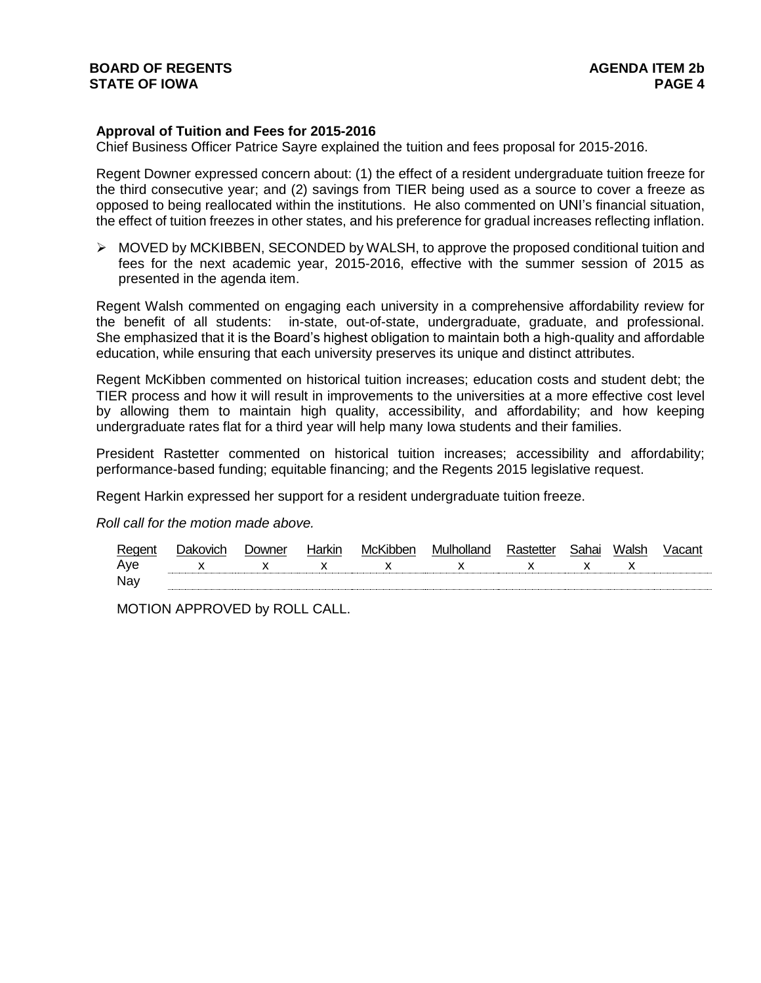# **Approval of Tuition and Fees for 2015-2016**

Chief Business Officer Patrice Sayre explained the tuition and fees proposal for 2015-2016.

Regent Downer expressed concern about: (1) the effect of a resident undergraduate tuition freeze for the third consecutive year; and (2) savings from TIER being used as a source to cover a freeze as opposed to being reallocated within the institutions. He also commented on UNI's financial situation, the effect of tuition freezes in other states, and his preference for gradual increases reflecting inflation.

 $\triangleright$  MOVED by MCKIBBEN, SECONDED by WALSH, to approve the proposed conditional tuition and fees for the next academic year, 2015-2016, effective with the summer session of 2015 as presented in the agenda item.

Regent Walsh commented on engaging each university in a comprehensive affordability review for the benefit of all students: in-state, out-of-state, undergraduate, graduate, and professional. She emphasized that it is the Board's highest obligation to maintain both a high-quality and affordable education, while ensuring that each university preserves its unique and distinct attributes.

Regent McKibben commented on historical tuition increases; education costs and student debt; the TIER process and how it will result in improvements to the universities at a more effective cost level by allowing them to maintain high quality, accessibility, and affordability; and how keeping undergraduate rates flat for a third year will help many Iowa students and their families.

President Rastetter commented on historical tuition increases; accessibility and affordability; performance-based funding; equitable financing; and the Regents 2015 legislative request.

Regent Harkin expressed her support for a resident undergraduate tuition freeze.

*Roll call for the motion made above.*

| Regen | <b>Downer</b> | Harkır | McKibben | Mulholland | <b>nhoi</b> | Maleh : |  |
|-------|---------------|--------|----------|------------|-------------|---------|--|
| Aye   |               |        |          |            |             | ⌒       |  |
| Nav   |               |        |          |            |             |         |  |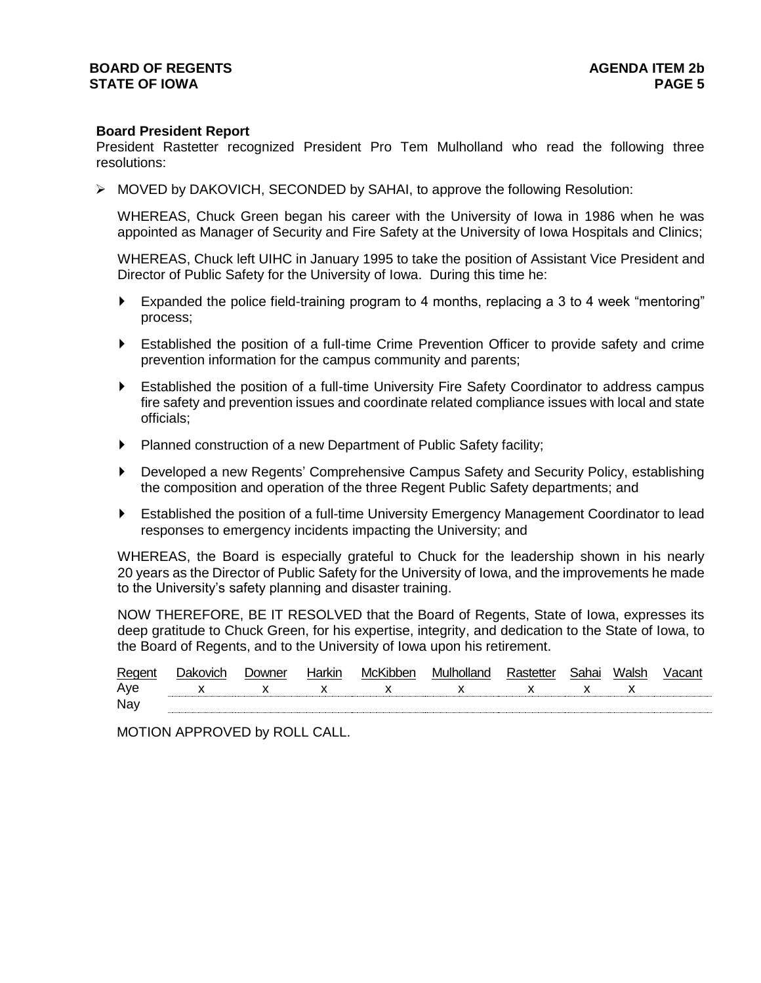#### **Board President Report**

President Rastetter recognized President Pro Tem Mulholland who read the following three resolutions:

MOVED by DAKOVICH, SECONDED by SAHAI, to approve the following Resolution:

WHEREAS, Chuck Green began his career with the University of Iowa in 1986 when he was appointed as Manager of Security and Fire Safety at the University of Iowa Hospitals and Clinics;

WHEREAS, Chuck left UIHC in January 1995 to take the position of Assistant Vice President and Director of Public Safety for the University of Iowa. During this time he:

- Expanded the police field-training program to 4 months, replacing a 3 to 4 week "mentoring" process;
- Established the position of a full-time Crime Prevention Officer to provide safety and crime prevention information for the campus community and parents;
- Established the position of a full-time University Fire Safety Coordinator to address campus fire safety and prevention issues and coordinate related compliance issues with local and state officials;
- Planned construction of a new Department of Public Safety facility;
- Developed a new Regents' Comprehensive Campus Safety and Security Policy, establishing the composition and operation of the three Regent Public Safety departments; and
- Established the position of a full-time University Emergency Management Coordinator to lead responses to emergency incidents impacting the University; and

WHEREAS, the Board is especially grateful to Chuck for the leadership shown in his nearly 20 years as the Director of Public Safety for the University of Iowa, and the improvements he made to the University's safety planning and disaster training.

NOW THEREFORE, BE IT RESOLVED that the Board of Regents, State of Iowa, expresses its deep gratitude to Chuck Green, for his expertise, integrity, and dedication to the State of Iowa, to the Board of Regents, and to the University of Iowa upon his retirement.

| Regent | Dakovich       | <b>Downer</b> | Harkir      | McKibben                      | Mulholland                | Rastetter | Sahai       | Walsh |  |
|--------|----------------|---------------|-------------|-------------------------------|---------------------------|-----------|-------------|-------|--|
| Aye    | $\mathsf{X}$ x |               | $\mathbf x$ | $\mathbf{x}$ and $\mathbf{x}$ | $\mathsf{X}$ $\mathsf{X}$ |           | $\mathbf x$ |       |  |
| Nay    |                |               |             |                               |                           |           |             |       |  |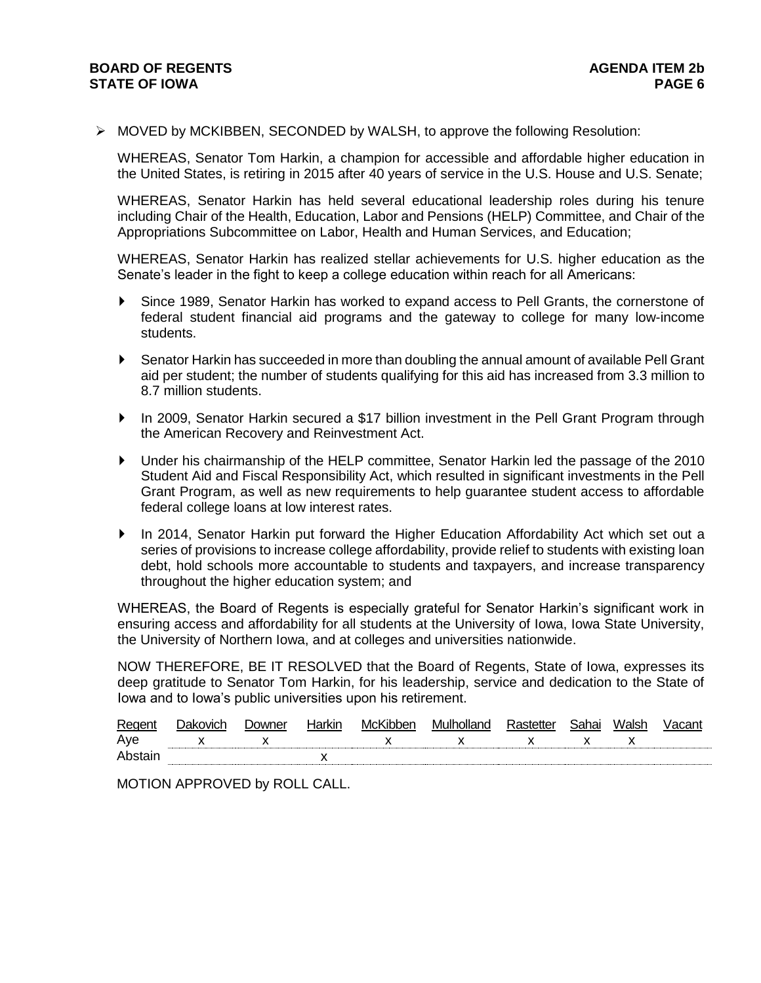$\triangleright$  MOVED by MCKIBBEN, SECONDED by WALSH, to approve the following Resolution:

WHEREAS, Senator Tom Harkin, a champion for accessible and affordable higher education in the United States, is retiring in 2015 after 40 years of service in the U.S. House and U.S. Senate;

WHEREAS, Senator Harkin has held several educational leadership roles during his tenure including Chair of the Health, Education, Labor and Pensions (HELP) Committee, and Chair of the Appropriations Subcommittee on Labor, Health and Human Services, and Education;

WHEREAS, Senator Harkin has realized stellar achievements for U.S. higher education as the Senate's leader in the fight to keep a college education within reach for all Americans:

- Since 1989, Senator Harkin has worked to expand access to Pell Grants, the cornerstone of federal student financial aid programs and the gateway to college for many low-income students.
- Senator Harkin has succeeded in more than doubling the annual amount of available Pell Grant aid per student; the number of students qualifying for this aid has increased from 3.3 million to 8.7 million students.
- ▶ In 2009, Senator Harkin secured a \$17 billion investment in the Pell Grant Program through the American Recovery and Reinvestment Act.
- Under his chairmanship of the HELP committee, Senator Harkin led the passage of the 2010 Student Aid and Fiscal Responsibility Act, which resulted in significant investments in the Pell Grant Program, as well as new requirements to help guarantee student access to affordable federal college loans at low interest rates.
- In 2014, Senator Harkin put forward the Higher Education Affordability Act which set out a series of provisions to increase college affordability, provide relief to students with existing loan debt, hold schools more accountable to students and taxpayers, and increase transparency throughout the higher education system; and

WHEREAS, the Board of Regents is especially grateful for Senator Harkin's significant work in ensuring access and affordability for all students at the University of Iowa, Iowa State University, the University of Northern Iowa, and at colleges and universities nationwide.

NOW THEREFORE, BE IT RESOLVED that the Board of Regents, State of Iowa, expresses its deep gratitude to Senator Tom Harkin, for his leadership, service and dedication to the State of Iowa and to Iowa's public universities upon his retirement.

| Regent | Dakovich | <i>D</i> owner | Harkır | McKibben | Mulholland | ⊰nhni: | Waleh |  |
|--------|----------|----------------|--------|----------|------------|--------|-------|--|
| Ave    |          |                |        |          |            |        | ,,    |  |
| Ahsts  |          |                |        |          |            |        |       |  |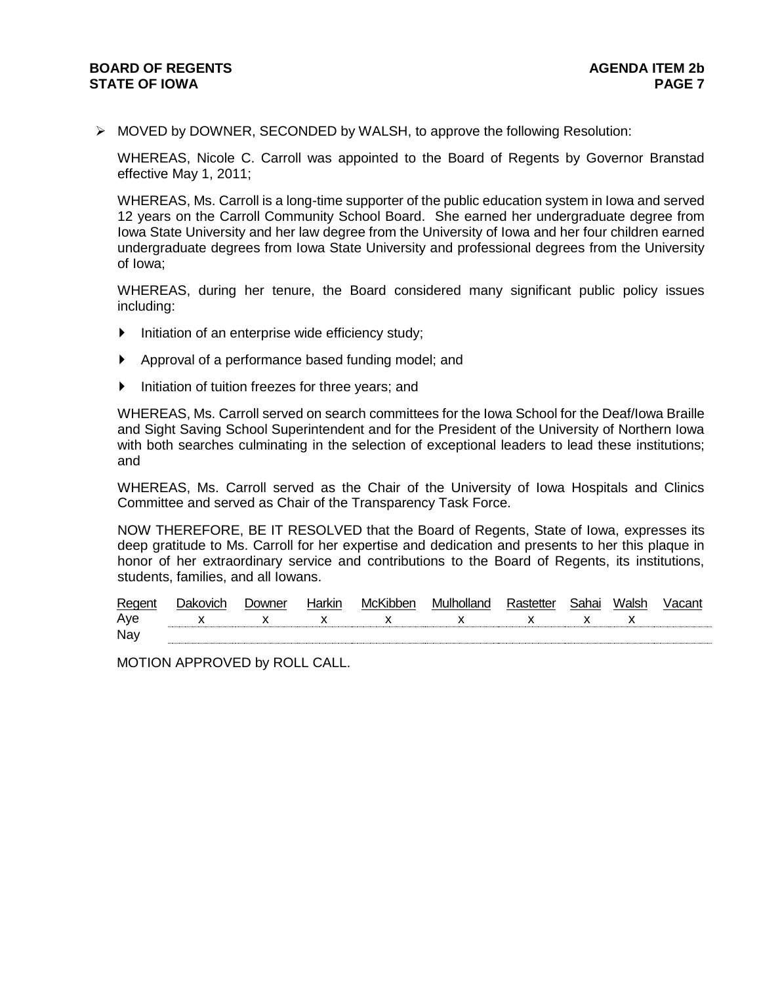$\triangleright$  MOVED by DOWNER, SECONDED by WALSH, to approve the following Resolution:

WHEREAS, Nicole C. Carroll was appointed to the Board of Regents by Governor Branstad effective May 1, 2011;

WHEREAS, Ms. Carroll is a long-time supporter of the public education system in Iowa and served 12 years on the Carroll Community School Board. She earned her undergraduate degree from Iowa State University and her law degree from the University of Iowa and her four children earned undergraduate degrees from Iowa State University and professional degrees from the University of Iowa;

WHEREAS, during her tenure, the Board considered many significant public policy issues including:

- $\blacktriangleright$  Initiation of an enterprise wide efficiency study;
- Approval of a performance based funding model; and
- Initiation of tuition freezes for three years; and

WHEREAS, Ms. Carroll served on search committees for the Iowa School for the Deaf/Iowa Braille and Sight Saving School Superintendent and for the President of the University of Northern Iowa with both searches culminating in the selection of exceptional leaders to lead these institutions; and

WHEREAS, Ms. Carroll served as the Chair of the University of Iowa Hospitals and Clinics Committee and served as Chair of the Transparency Task Force.

NOW THEREFORE, BE IT RESOLVED that the Board of Regents, State of Iowa, expresses its deep gratitude to Ms. Carroll for her expertise and dedication and presents to her this plaque in honor of her extraordinary service and contributions to the Board of Regents, its institutions, students, families, and all Iowans.

| Regent | Jakovich | Downer | Harkin | McKibber     | Mulholland | Rastetter   | Sahai | Walsh | √acan |
|--------|----------|--------|--------|--------------|------------|-------------|-------|-------|-------|
| Ave    |          |        |        | $\mathbf{x}$ |            | $\mathbf x$ |       |       |       |
| Nay    |          |        |        |              |            |             |       |       |       |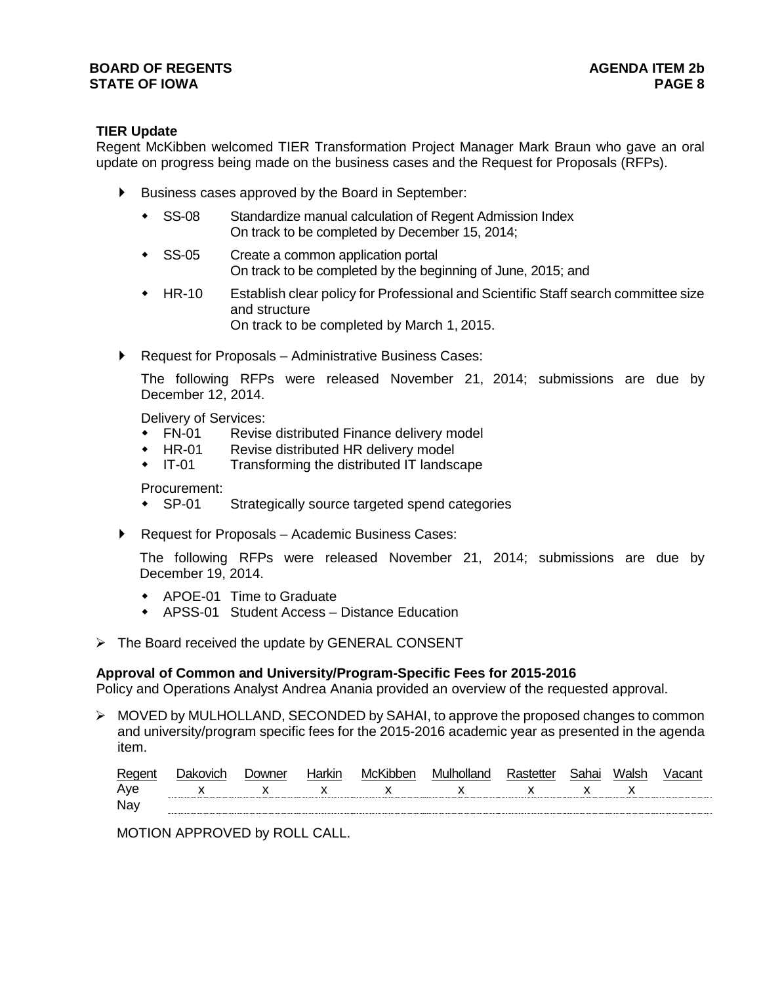# **TIER Update**

Regent McKibben welcomed TIER Transformation Project Manager Mark Braun who gave an oral update on progress being made on the business cases and the Request for Proposals (RFPs).

- Business cases approved by the Board in September:
	- SS-08 Standardize manual calculation of Regent Admission Index On track to be completed by December 15, 2014;
	- SS-05 Create a common application portal On track to be completed by the beginning of June, 2015; and
	- HR-10 Establish clear policy for Professional and Scientific Staff search committee size and structure On track to be completed by March 1, 2015.
- ▶ Request for Proposals Administrative Business Cases:

The following RFPs were released November 21, 2014; submissions are due by December 12, 2014.

Delivery of Services:

- FN-01 Revise distributed Finance delivery model
- HR-01 Revise distributed HR delivery model
- IT-01 Transforming the distributed IT landscape

Procurement:

SP-01 Strategically source targeted spend categories

▶ Request for Proposals – Academic Business Cases:

The following RFPs were released November 21, 2014; submissions are due by December 19, 2014.

- APOE-01 Time to Graduate
- APSS-01 Student Access Distance Education
- $\triangleright$  The Board received the update by GENERAL CONSENT

# **Approval of Common and University/Program-Specific Fees for 2015-2016**

Policy and Operations Analyst Andrea Anania provided an overview of the requested approval.

 $\triangleright$  MOVED by MULHOLLAND, SECONDED by SAHAI, to approve the proposed changes to common and university/program specific fees for the 2015-2016 academic year as presented in the agenda item.

| Regent | ่)akovich    | <b>Downer</b> | Harkir       | McKibben     | Mulholland   | Rastetter   | Sahai    | Walsh | Vacant |
|--------|--------------|---------------|--------------|--------------|--------------|-------------|----------|-------|--------|
| Ave    | $\mathsf{X}$ | $\mathsf{X}$  | $\mathbf{x}$ | $\mathbf{x}$ | $\mathbf{x}$ | $\mathbf x$ | <b>X</b> |       |        |
| Nay    |              |               |              |              |              |             |          |       |        |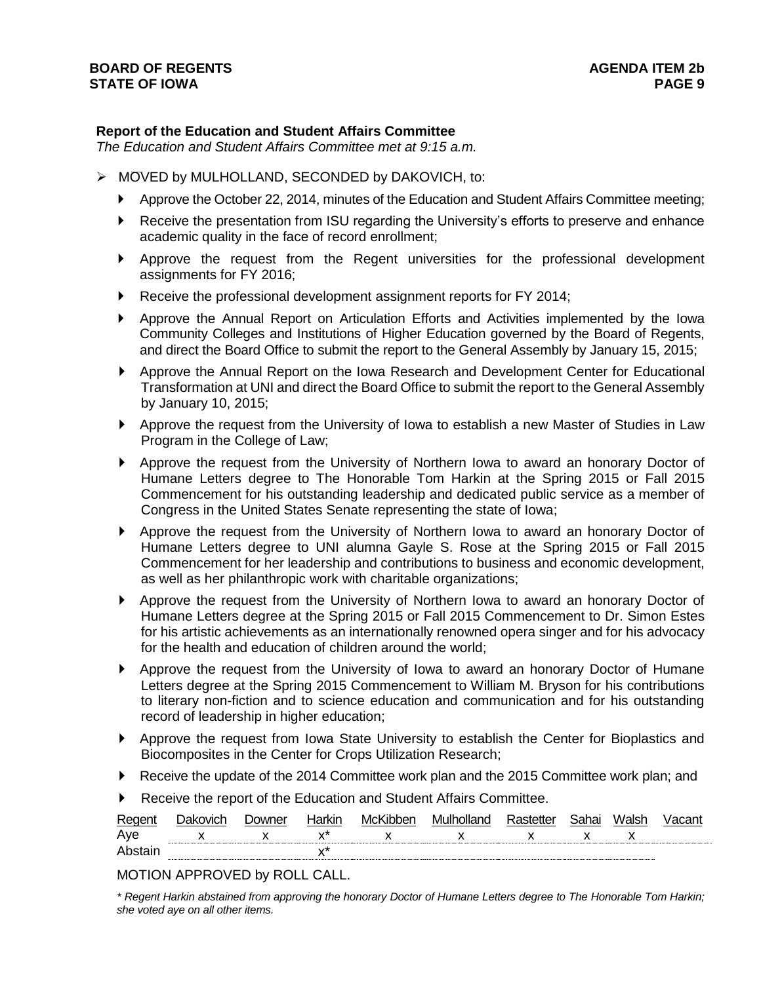# **Report of the Education and Student Affairs Committee**

*The Education and Student Affairs Committee met at 9:15 a.m.*

- MOVED by MULHOLLAND, SECONDED by DAKOVICH, to:
	- Approve the October 22, 2014, minutes of the Education and Student Affairs Committee meeting;
	- Receive the presentation from ISU regarding the University's efforts to preserve and enhance academic quality in the face of record enrollment;
	- Approve the request from the Regent universities for the professional development assignments for FY 2016;
	- ▶ Receive the professional development assignment reports for FY 2014;
	- Approve the Annual Report on Articulation Efforts and Activities implemented by the Iowa Community Colleges and Institutions of Higher Education governed by the Board of Regents, and direct the Board Office to submit the report to the General Assembly by January 15, 2015;
	- Approve the Annual Report on the Iowa Research and Development Center for Educational Transformation at UNI and direct the Board Office to submit the report to the General Assembly by January 10, 2015;
	- Approve the request from the University of Iowa to establish a new Master of Studies in Law Program in the College of Law;
	- Approve the request from the University of Northern Iowa to award an honorary Doctor of Humane Letters degree to The Honorable Tom Harkin at the Spring 2015 or Fall 2015 Commencement for his outstanding leadership and dedicated public service as a member of Congress in the United States Senate representing the state of Iowa;
	- Approve the request from the University of Northern Iowa to award an honorary Doctor of Humane Letters degree to UNI alumna Gayle S. Rose at the Spring 2015 or Fall 2015 Commencement for her leadership and contributions to business and economic development, as well as her philanthropic work with charitable organizations;
	- Approve the request from the University of Northern Iowa to award an honorary Doctor of Humane Letters degree at the Spring 2015 or Fall 2015 Commencement to Dr. Simon Estes for his artistic achievements as an internationally renowned opera singer and for his advocacy for the health and education of children around the world;
	- Approve the request from the University of Iowa to award an honorary Doctor of Humane Letters degree at the Spring 2015 Commencement to William M. Bryson for his contributions to literary non-fiction and to science education and communication and for his outstanding record of leadership in higher education;
	- Approve the request from Iowa State University to establish the Center for Bioplastics and Biocomposites in the Center for Crops Utilization Research;
	- Receive the update of the 2014 Committee work plan and the 2015 Committee work plan; and
	- Receive the report of the Education and Student Affairs Committee.

| Regen | . Jakovich | <b>Downer</b> | Harkın         | MCK | ulholland<br>Mι | ח≏tt | ∵oho∟ | Walsh                    |  |
|-------|------------|---------------|----------------|-----|-----------------|------|-------|--------------------------|--|
| Ave   |            | . .           | $\cdot$<br>. . |     |                 | . .  |       | $\overline{\phantom{a}}$ |  |
|       |            |               | v              |     |                 |      |       |                          |  |

*<sup>\*</sup> Regent Harkin abstained from approving the honorary Doctor of Humane Letters degree to The Honorable Tom Harkin; she voted aye on all other items.*